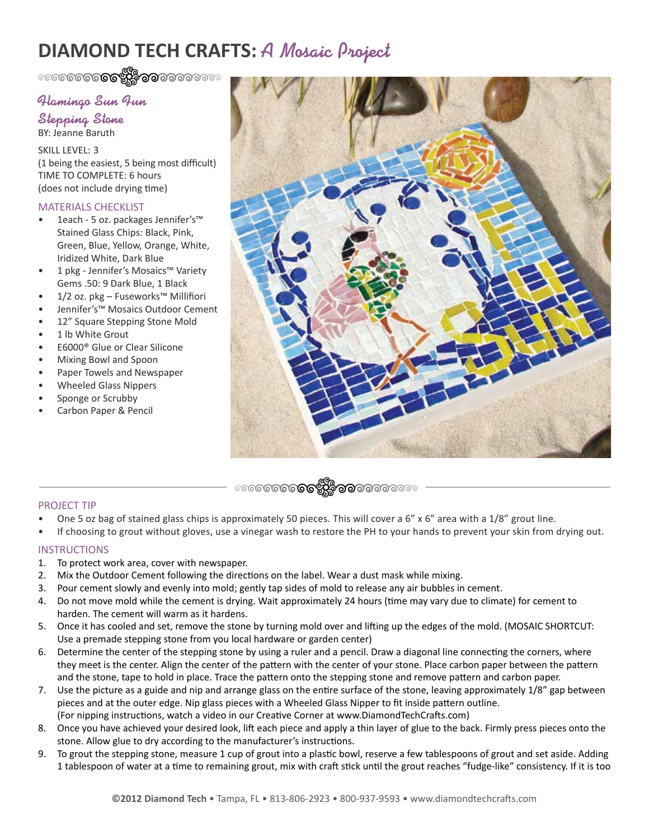# **DIAMOND TECH CRAFTS:** A Mosaic Project

# Flamingo Sun Fun

Stepping Stone BY: Jeanne Baruth

SKILL LEVEL: 3 (1 being the easiest, 5 being most difficult) TIME TO COMPLETE: 6 hours (does not include drying time)

## MATERIALS CHECKLIST

- 1each 5 oz. packages Jennifer's™ Stained Glass Chips: Black, Pink, Green, Blue, Yellow, Orange, White, Iridized White, Dark Blue
- 1 pkg Jennifer's Mosaics™ Variety Gems .50: 9 Dark Blue, 1 Black
- 1/2 oz. pkg Fuseworks™ Millifiori
- Jennifer's™ Mosaics Outdoor Cement
- 12" Square Stepping Stone Mold
- 1 lb White Grout
- E6000® Glue or Clear Silicone
- Mixing Bowl and Spoon
- Paper Towels and Newspaper
- Wheeled Glass Nippers
- Sponge or Scrubby
- Carbon Paper & Pencil



### PROJECT TIP

- One 5 oz bag of stained glass chips is approximately 50 pieces. This will cover a 6" x 6" area with a 1/8" grout line.
- If choosing to grout without gloves, use a vinegar wash to restore the PH to your hands to prevent your skin from drying out.

### **INSTRUCTIONS**

- 1. To protect work area, cover with newspaper.
- 2. Mix the Outdoor Cement following the directions on the label. Wear a dust mask while mixing.
- 3. Pour cement slowly and evenly into mold; gently tap sides of mold to release any air bubbles in cement.
- 4. Do not move mold while the cement is drying. Wait approximately 24 hours (time may vary due to climate) for cement to harden. The cement will warm as it hardens.
- 5. Once it has cooled and set, remove the stone by turning mold over and lifting up the edges of the mold. (MOSAIC SHORTCUT: Use a premade stepping stone from you local hardware or garden center)
- 6. Determine the center of the stepping stone by using a ruler and a pencil. Draw a diagonal line connecting the corners, where they meet is the center. Align the center of the pattern with the center of your stone. Place carbon paper between the pattern and the stone, tape to hold in place. Trace the pattern onto the stepping stone and remove pattern and carbon paper.
- 7. Use the picture as a guide and nip and arrange glass on the entire surface of the stone, leaving approximately 1/8" gap between pieces and at the outer edge. Nip glass pieces with a Wheeled Glass Nipper to fit inside pattern outline. (For nipping instructions, watch a video in our Creative Corner at www.DiamondTechCrafts.com)
- 8. Once you have achieved your desired look, lift each piece and apply a thin layer of glue to the back. Firmly press pieces onto the stone. Allow glue to dry according to the manufacturer's instructions.
- 9. To grout the stepping stone, measure 1 cup of grout into a plastic bowl, reserve a few tablespoons of grout and set aside. Adding 1 tablespoon of water at a time to remaining grout, mix with craft stick until the grout reaches "fudge-like" consistency. If it is too